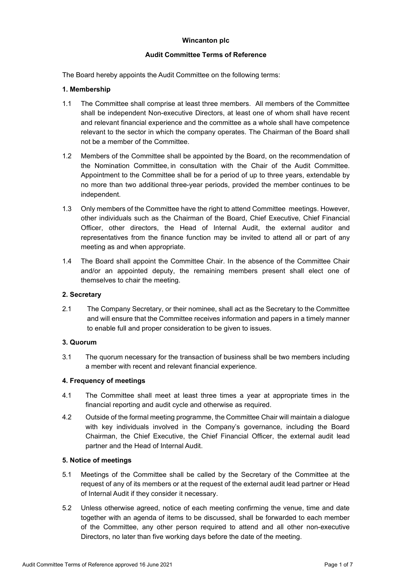# **Wincanton plc**

## **Audit Committee Terms of Reference**

The Board hereby appoints the Audit Committee on the following terms:

## **1. Membership**

- 1.1 The Committee shall comprise at least three members. All members of the Committee shall be independent Non-executive Directors, at least one of whom shall have recent and relevant financial experience and the committee as a whole shall have competence relevant to the sector in which the company operates. The Chairman of the Board shall not be a member of the Committee.
- 1.2 Members of the Committee shall be appointed by the Board, on the recommendation of the Nomination Committee, in consultation with the Chair of the Audit Committee. Appointment to the Committee shall be for a period of up to three years, extendable by no more than two additional three-year periods, provided the member continues to be independent.
- 1.3 Only members of the Committee have the right to attend Committee meetings. However, other individuals such as the Chairman of the Board, Chief Executive, Chief Financial Officer, other directors, the Head of Internal Audit, the external auditor and representatives from the finance function may be invited to attend all or part of any meeting as and when appropriate.
- 1.4 The Board shall appoint the Committee Chair. In the absence of the Committee Chair and/or an appointed deputy, the remaining members present shall elect one of themselves to chair the meeting.

## **2. Secretary**

2.1 The Company Secretary, or their nominee, shall act as the Secretary to the Committee and will ensure that the Committee receives information and papers in a timely manner to enable full and proper consideration to be given to issues.

# **3. Quorum**

3.1 The quorum necessary for the transaction of business shall be two members including a member with recent and relevant financial experience.

# **4. Frequency of meetings**

- 4.1 The Committee shall meet at least three times a year at appropriate times in the financial reporting and audit cycle and otherwise as required.
- 4.2 Outside of the formal meeting programme, the Committee Chair will maintain a dialogue with key individuals involved in the Company's governance, including the Board Chairman, the Chief Executive, the Chief Financial Officer, the external audit lead partner and the Head of Internal Audit.

### **5. Notice of meetings**

- 5.1 Meetings of the Committee shall be called by the Secretary of the Committee at the request of any of its members or at the request of the external audit lead partner or Head of Internal Audit if they consider it necessary.
- 5.2 Unless otherwise agreed, notice of each meeting confirming the venue, time and date together with an agenda of items to be discussed, shall be forwarded to each member of the Committee, any other person required to attend and all other non-executive Directors, no later than five working days before the date of the meeting.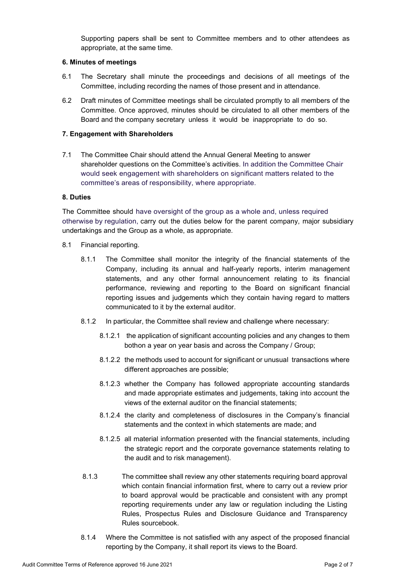Supporting papers shall be sent to Committee members and to other attendees as appropriate, at the same time.

## **6. Minutes of meetings**

- 6.1 The Secretary shall minute the proceedings and decisions of all meetings of the Committee, including recording the names of those present and in attendance.
- 6.2 Draft minutes of Committee meetings shall be circulated promptly to all members of the Committee. Once approved, minutes should be circulated to all other members of the Board and the company secretary unless it would be inappropriate to do so.

## **7. Engagement with Shareholders**

7.1 The Committee Chair should attend the Annual General Meeting to answer shareholder questions on the Committee's activities. In addition the Committee Chair would seek engagement with shareholders on significant matters related to the committee's areas of responsibility, where appropriate.

## **8. Duties**

The Committee should have oversight of the group as a whole and, unless required otherwise by regulation, carry out the duties below for the parent company, major subsidiary undertakings and the Group as a whole, as appropriate.

- 8.1 Financial reporting.
	- 8.1.1 The Committee shall monitor the integrity of the financial statements of the Company, including its annual and half-yearly reports, interim management statements, and any other formal announcement relating to its financial performance, reviewing and reporting to the Board on significant financial reporting issues and judgements which they contain having regard to matters communicated to it by the external auditor.
	- 8.1.2 In particular, the Committee shall review and challenge where necessary:
		- 8.1.2.1 the application of significant accounting policies and any changes to them bothon a year on year basis and across the Company / Group;
		- 8.1.2.2 the methods used to account for significant or unusual transactions where different approaches are possible;
		- 8.1.2.3 whether the Company has followed appropriate accounting standards and made appropriate estimates and judgements, taking into account the views of the external auditor on the financial statements;
		- 8.1.2.4 the clarity and completeness of disclosures in the Company's financial statements and the context in which statements are made; and
		- 8.1.2.5 all material information presented with the financial statements, including the strategic report and the corporate governance statements relating to the audit and to risk management).
	- 8.1.3 The committee shall review any other statements requiring board approval which contain financial information first, where to carry out a review prior to board approval would be practicable and consistent with any prompt reporting requirements under any law or regulation including the Listing Rules, Prospectus Rules and Disclosure Guidance and Transparency Rules sourcebook.
	- 8.1.4 Where the Committee is not satisfied with any aspect of the proposed financial reporting by the Company, it shall report its views to the Board.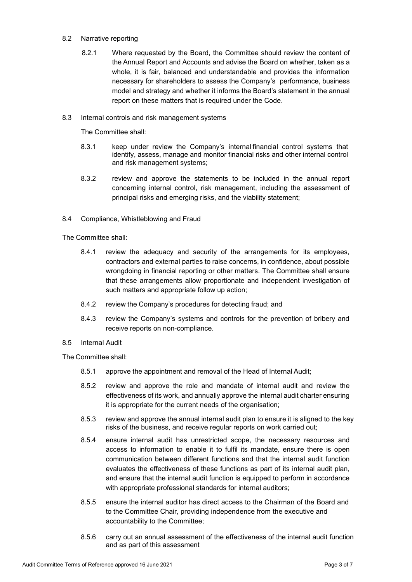## 8.2 Narrative reporting

- 8.2.1 Where requested by the Board, the Committee should review the content of the Annual Report and Accounts and advise the Board on whether, taken as a whole, it is fair, balanced and understandable and provides the information necessary for shareholders to assess the Company's performance, business model and strategy and whether it informs the Board's statement in the annual report on these matters that is required under the Code.
- 8.3 Internal controls and risk management systems

The Committee shall:

- 8.3.1 keep under review the Company's internal financial control systems that identify, assess, manage and monitor financial risks and other internal control and risk management systems;
- 8.3.2 review and approve the statements to be included in the annual report concerning internal control, risk management, including the assessment of principal risks and emerging risks, and the viability statement;
- 8.4 Compliance, Whistleblowing and Fraud

The Committee shall:

- 8.4.1 review the adequacy and security of the arrangements for its employees, contractors and external parties to raise concerns, in confidence, about possible wrongdoing in financial reporting or other matters. The Committee shall ensure that these arrangements allow proportionate and independent investigation of such matters and appropriate follow up action;
- 8.4.2 review the Company's procedures for detecting fraud; and
- 8.4.3 review the Company's systems and controls for the prevention of bribery and receive reports on non-compliance.
- 8.5 Internal Audit

The Committee shall:

- 8.5.1 approve the appointment and removal of the Head of Internal Audit;
- 8.5.2 review and approve the role and mandate of internal audit and review the effectiveness of its work, and annually approve the internal audit charter ensuring it is appropriate for the current needs of the organisation;
- 8.5.3 review and approve the annual internal audit plan to ensure it is aligned to the key risks of the business, and receive regular reports on work carried out;
- 8.5.4 ensure internal audit has unrestricted scope, the necessary resources and access to information to enable it to fulfil its mandate, ensure there is open communication between different functions and that the internal audit function evaluates the effectiveness of these functions as part of its internal audit plan, and ensure that the internal audit function is equipped to perform in accordance with appropriate professional standards for internal auditors;
- 8.5.5 ensure the internal auditor has direct access to the Chairman of the Board and to the Committee Chair, providing independence from the executive and accountability to the Committee;
- 8.5.6 carry out an annual assessment of the effectiveness of the internal audit function and as part of this assessment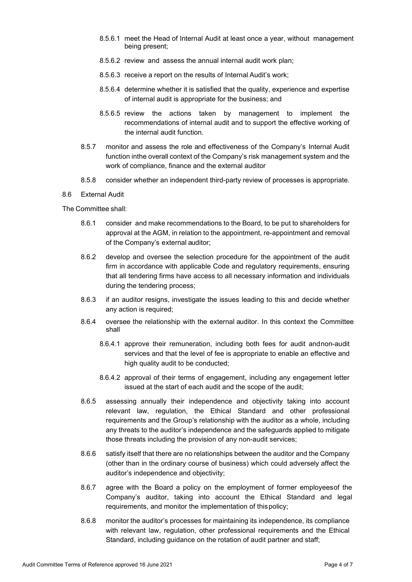- 8.5.6.1 meet the Head of Internal Audit at least once a year, without management being present;
- 8.5.6.2 review and assess the annual internal audit work plan;
- 8.5.6.3 receive a report on the results of Internal Audit's work;
- 8.5.6.4 determine whether it is satisfied that the quality, experience and expertise of internal audit is appropriate for the business; and
- 8.5.6.5 review the actions taken by management to implement the recommendations of internal audit and to support the effective working of the internal audit function.
- 8.5.7 monitor and assess the role and effectiveness of the Company's Internal Audit function inthe overall context of the Company's risk management system and the work of compliance, finance and the external auditor
- 8.5.8 consider whether an independent third-party review of processes is appropriate.

### 8.6 External Audit

The Committee shall:

- 8.6.1 consider and make recommendations to the Board, to be put to shareholders for approval at the AGM, in relation to the appointment, re-appointment and removal of the Company's external auditor;
- 8.6.2 develop and oversee the selection procedure for the appointment of the audit firm in accordance with applicable Code and regulatory requirements, ensuring that all tendering firms have access to all necessary information and individuals during the tendering process;
- 8.6.3 if an auditor resigns, investigate the issues leading to this and decide whether any action is required;
- 8.6.4 oversee the relationship with the external auditor. In this context the Committee shall
	- 8.6.4.1 approve their remuneration, including both fees for audit andnon-audit services and that the level of fee is appropriate to enable an effective and high quality audit to be conducted;
	- 8.6.4.2 approval of their terms of engagement, including any engagement letter issued at the start of each audit and the scope of the audit;
- 8.6.5 assessing annually their independence and objectivity taking into account relevant law, regulation, the Ethical Standard and other professional requirements and the Group's relationship with the auditor as a whole, including any threats to the auditor's independence and the safeguards applied to mitigate those threats including the provision of any non-audit services;
- 8.6.6 satisfy itself that there are no relationships between the auditor and the Company (other than in the ordinary course of business) which could adversely affect the auditor's independence and objectivity;
- 8.6.7 agree with the Board a policy on the employment of former employeesof the Company's auditor, taking into account the Ethical Standard and legal requirements, and monitor the implementation of this policy;
- 8.6.8 monitor the auditor's processes for maintaining its independence, its compliance with relevant law, regulation, other professional requirements and the Ethical Standard, including guidance on the rotation of audit partner and staff;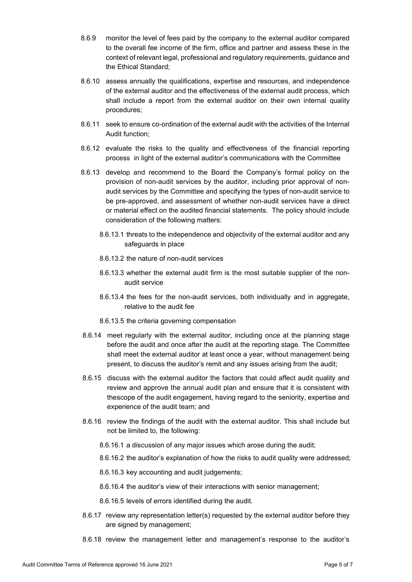- 8.6.9 monitor the level of fees paid by the company to the external auditor compared to the overall fee income of the firm, office and partner and assess these in the context of relevant legal, professional and regulatory requirements, guidance and the Ethical Standard;
- 8.6.10 assess annually the qualifications, expertise and resources, and independence of the external auditor and the effectiveness of the external audit process, which shall include a report from the external auditor on their own internal quality procedures;
- 8.6.11 seek to ensure co-ordination of the external audit with the activities of the Internal Audit function;
- 8.6.12 evaluate the risks to the quality and effectiveness of the financial reporting process in light of the external auditor's communications with the Committee
- 8.6.13 develop and recommend to the Board the Company's formal policy on the provision of non-audit services by the auditor, including prior approval of nonaudit services by the Committee and specifying the types of non-audit service to be pre-approved, and assessment of whether non-audit services have a direct or material effect on the audited financial statements. The policy should include consideration of the following matters:
	- 8.6.13.1 threats to the independence and objectivity of the external auditor and any safeguards in place
	- 8.6.13.2 the nature of non-audit services
	- 8.6.13.3 whether the external audit firm is the most suitable supplier of the nonaudit service
	- 8.6.13.4 the fees for the non-audit services, both individually and in aggregate, relative to the audit fee
	- 8.6.13.5 the criteria governing compensation
- 8.6.14 meet regularly with the external auditor, including once at the planning stage before the audit and once after the audit at the reporting stage. The Committee shall meet the external auditor at least once a year, without management being present, to discuss the auditor's remit and any issues arising from the audit;
- 8.6.15 discuss with the external auditor the factors that could affect audit quality and review and approve the annual audit plan and ensure that it is consistent with thescope of the audit engagement, having regard to the seniority, expertise and experience of the audit team; and
- 8.6.16 review the findings of the audit with the external auditor. This shall include but not be limited to, the following:
	- 8.6.16.1 a discussion of any major issues which arose during the audit;
	- 8.6.16.2 the auditor's explanation of how the risks to audit quality were addressed;
	- 8.6.16.3 key accounting and audit judgements;
	- 8.6.16.4 the auditor's view of their interactions with senior management;
	- 8.6.16.5 levels of errors identified during the audit.
- 8.6.17 review any representation letter(s) requested by the external auditor before they are signed by management;
- 8.6.18 review the management letter and management's response to the auditor's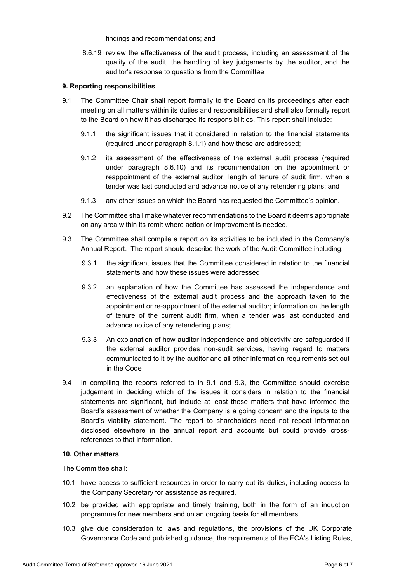findings and recommendations; and

8.6.19 review the effectiveness of the audit process, including an assessment of the quality of the audit, the handling of key judgements by the auditor, and the auditor's response to questions from the Committee

## **9. Reporting responsibilities**

- 9.1 The Committee Chair shall report formally to the Board on its proceedings after each meeting on all matters within its duties and responsibilities and shall also formally report to the Board on how it has discharged its responsibilities. This report shall include:
	- 9.1.1 the significant issues that it considered in relation to the financial statements (required under paragraph 8.1.1) and how these are addressed;
	- 9.1.2 its assessment of the effectiveness of the external audit process (required under paragraph 8.6.10) and its recommendation on the appointment or reappointment of the external auditor, length of tenure of audit firm, when a tender was last conducted and advance notice of any retendering plans; and
	- 9.1.3 any other issues on which the Board has requested the Committee's opinion.
- 9.2 The Committee shall make whatever recommendations to the Board it deems appropriate on any area within its remit where action or improvement is needed.
- 9.3 The Committee shall compile a report on its activities to be included in the Company's Annual Report. The report should describe the work of the Audit Committee including:
	- 9.3.1 the significant issues that the Committee considered in relation to the financial statements and how these issues were addressed
	- 9.3.2 an explanation of how the Committee has assessed the independence and effectiveness of the external audit process and the approach taken to the appointment or re-appointment of the external auditor; information on the length of tenure of the current audit firm, when a tender was last conducted and advance notice of any retendering plans;
	- 9.3.3 An explanation of how auditor independence and objectivity are safeguarded if the external auditor provides non-audit services, having regard to matters communicated to it by the auditor and all other information requirements set out in the Code
- 9.4 In compiling the reports referred to in 9.1 and 9.3, the Committee should exercise judgement in deciding which of the issues it considers in relation to the financial statements are significant, but include at least those matters that have informed the Board's assessment of whether the Company is a going concern and the inputs to the Board's viability statement. The report to shareholders need not repeat information disclosed elsewhere in the annual report and accounts but could provide crossreferences to that information.

### **10. Other matters**

The Committee shall:

- 10.1 have access to sufficient resources in order to carry out its duties, including access to the Company Secretary for assistance as required.
- 10.2 be provided with appropriate and timely training, both in the form of an induction programme for new members and on an ongoing basis for all members.
- 10.3 give due consideration to laws and regulations, the provisions of the UK Corporate Governance Code and published guidance, the requirements of the FCA's Listing Rules,